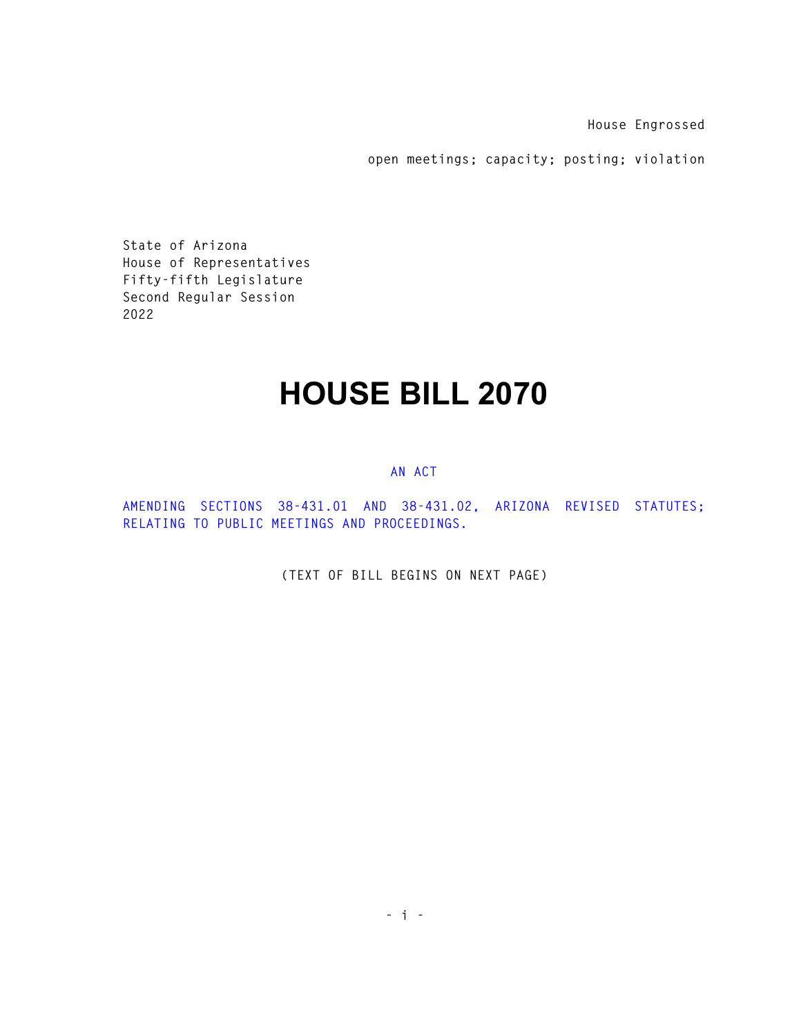**House Engrossed** 

**open meetings; capacity; posting; violation** 

**State of Arizona House of Representatives Fifty-fifth Legislature Second Regular Session 2022** 

## **HOUSE BILL 2070**

## **AN ACT**

**AMENDING SECTIONS 38-431.01 AND 38-431.02, ARIZONA REVISED STATUTES; RELATING TO PUBLIC MEETINGS AND PROCEEDINGS.** 

**(TEXT OF BILL BEGINS ON NEXT PAGE)**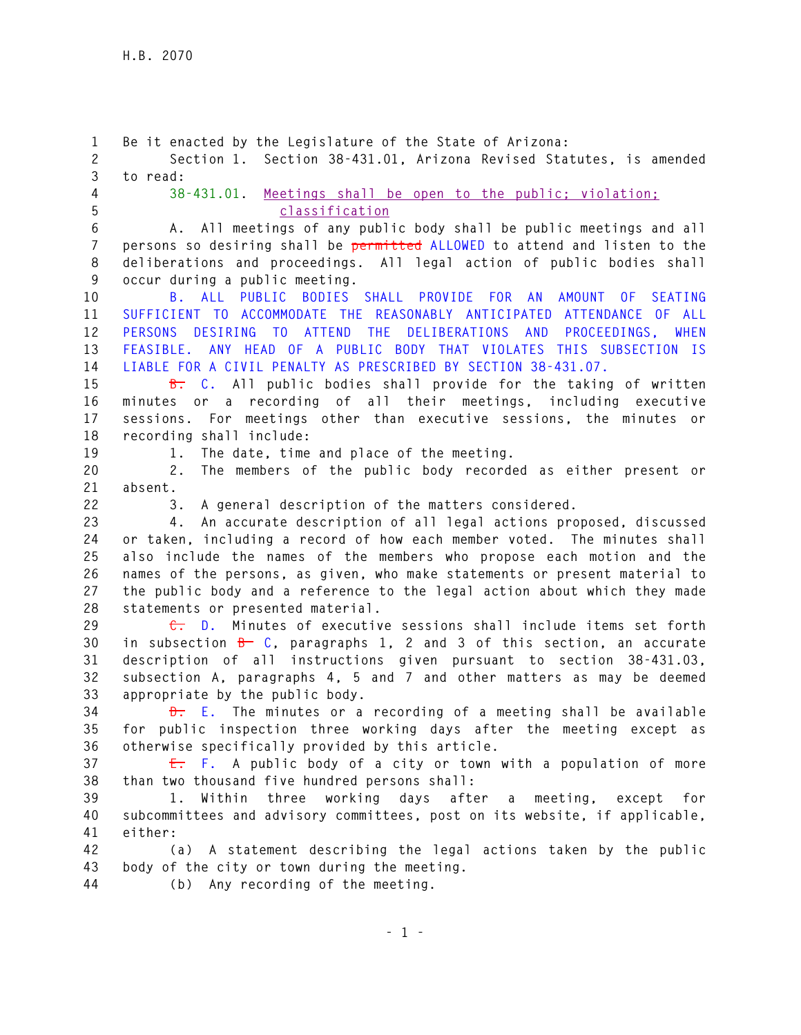**1 Be it enacted by the Legislature of the State of Arizona: 2 Section 1. Section 38-431.01, Arizona Revised Statutes, is amended 3 to read: 4 38-431.01. Meetings shall be open to the public; violation; 5 classification 6 A. All meetings of any public body shall be public meetings and all 7 persons so desiring shall be permitted ALLOWED to attend and listen to the 8 deliberations and proceedings. All legal action of public bodies shall 9 occur during a public meeting. 10 B. ALL PUBLIC BODIES SHALL PROVIDE FOR AN AMOUNT OF SEATING 11 SUFFICIENT TO ACCOMMODATE THE REASONABLY ANTICIPATED ATTENDANCE OF ALL 12 PERSONS DESIRING TO ATTEND THE DELIBERATIONS AND PROCEEDINGS, WHEN 13 FEASIBLE. ANY HEAD OF A PUBLIC BODY THAT VIOLATES THIS SUBSECTION IS 14 LIABLE FOR A CIVIL PENALTY AS PRESCRIBED BY SECTION 38-431.07. 15 B. C. All public bodies shall provide for the taking of written 16 minutes or a recording of all their meetings, including executive 17 sessions. For meetings other than executive sessions, the minutes or 18 recording shall include: 19 1. The date, time and place of the meeting. 20 2. The members of the public body recorded as either present or 21 absent. 22 3. A general description of the matters considered. 23 4. An accurate description of all legal actions proposed, discussed 24 or taken, including a record of how each member voted. The minutes shall 25 also include the names of the members who propose each motion and the 26 names of the persons, as given, who make statements or present material to 27 the public body and a reference to the legal action about which they made 28 statements or presented material. 29 C. D. Minutes of executive sessions shall include items set forth 30 in subsection B C, paragraphs 1, 2 and 3 of this section, an accurate 31 description of all instructions given pursuant to section 38-431.03, 32 subsection A, paragraphs 4, 5 and 7 and other matters as may be deemed 33 appropriate by the public body. 34 D. E. The minutes or a recording of a meeting shall be available 35 for public inspection three working days after the meeting except as 36 otherwise specifically provided by this article. 37 E. F. A public body of a city or town with a population of more 38 than two thousand five hundred persons shall: 39 1. Within three working days after a meeting, except for 40 subcommittees and advisory committees, post on its website, if applicable, 41 either: 42 (a) A statement describing the legal actions taken by the public 43 body of the city or town during the meeting. 44 (b) Any recording of the meeting.**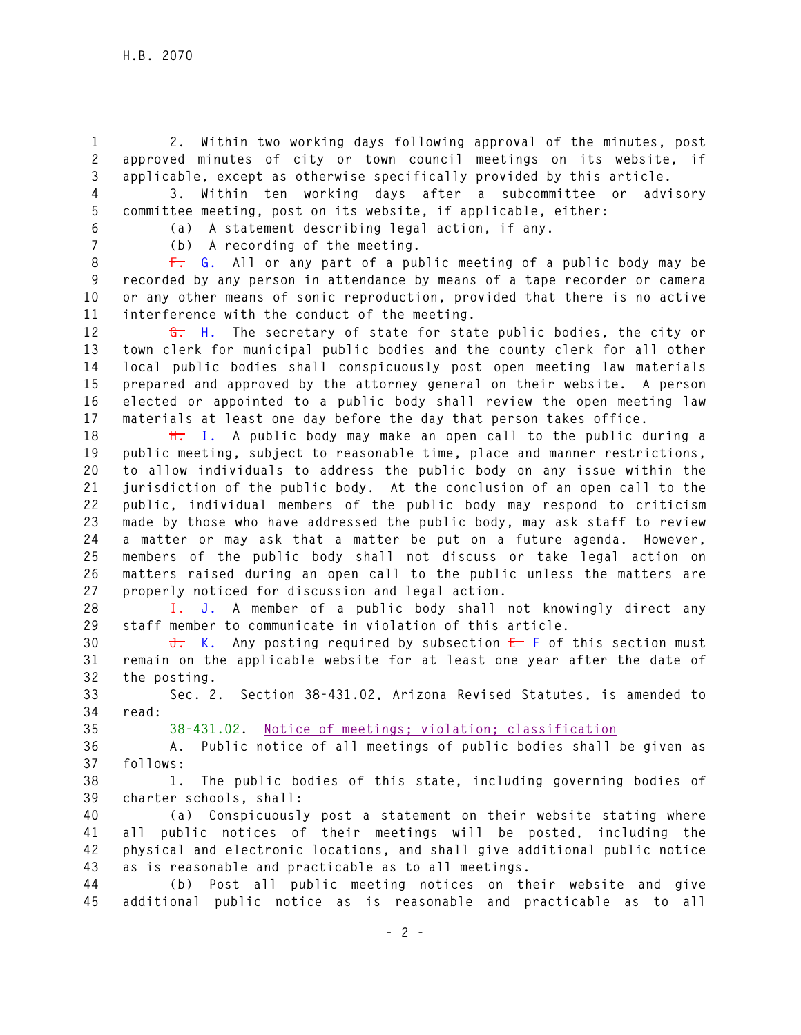**1 2. Within two working days following approval of the minutes, post 2 approved minutes of city or town council meetings on its website, if 3 applicable, except as otherwise specifically provided by this article.** 

**4 3. Within ten working days after a subcommittee or advisory 5 committee meeting, post on its website, if applicable, either:** 

**6 (a) A statement describing legal action, if any.** 

**7 (b) A recording of the meeting.** 

**8 F. G. All or any part of a public meeting of a public body may be 9 recorded by any person in attendance by means of a tape recorder or camera 10 or any other means of sonic reproduction, provided that there is no active 11 interference with the conduct of the meeting.** 

**12 G. H. The secretary of state for state public bodies, the city or 13 town clerk for municipal public bodies and the county clerk for all other 14 local public bodies shall conspicuously post open meeting law materials 15 prepared and approved by the attorney general on their website. A person 16 elected or appointed to a public body shall review the open meeting law 17 materials at least one day before the day that person takes office.** 

**18 H. I. A public body may make an open call to the public during a 19 public meeting, subject to reasonable time, place and manner restrictions, 20 to allow individuals to address the public body on any issue within the 21 jurisdiction of the public body. At the conclusion of an open call to the 22 public, individual members of the public body may respond to criticism 23 made by those who have addressed the public body, may ask staff to review 24 a matter or may ask that a matter be put on a future agenda. However, 25 members of the public body shall not discuss or take legal action on 26 matters raised during an open call to the public unless the matters are 27 properly noticed for discussion and legal action.** 

**28 I. J. A member of a public body shall not knowingly direct any 29 staff member to communicate in violation of this article.** 

**30 J. K. Any posting required by subsection E F of this section must 31 remain on the applicable website for at least one year after the date of 32 the posting.** 

**33 Sec. 2. Section 38-431.02, Arizona Revised Statutes, is amended to 34 read:** 

**35 38-431.02. Notice of meetings; violation; classification**

**36 A. Public notice of all meetings of public bodies shall be given as 37 follows:** 

**38 1. The public bodies of this state, including governing bodies of 39 charter schools, shall:** 

**40 (a) Conspicuously post a statement on their website stating where 41 all public notices of their meetings will be posted, including the 42 physical and electronic locations, and shall give additional public notice 43 as is reasonable and practicable as to all meetings.** 

**44 (b) Post all public meeting notices on their website and give 45 additional public notice as is reasonable and practicable as to all**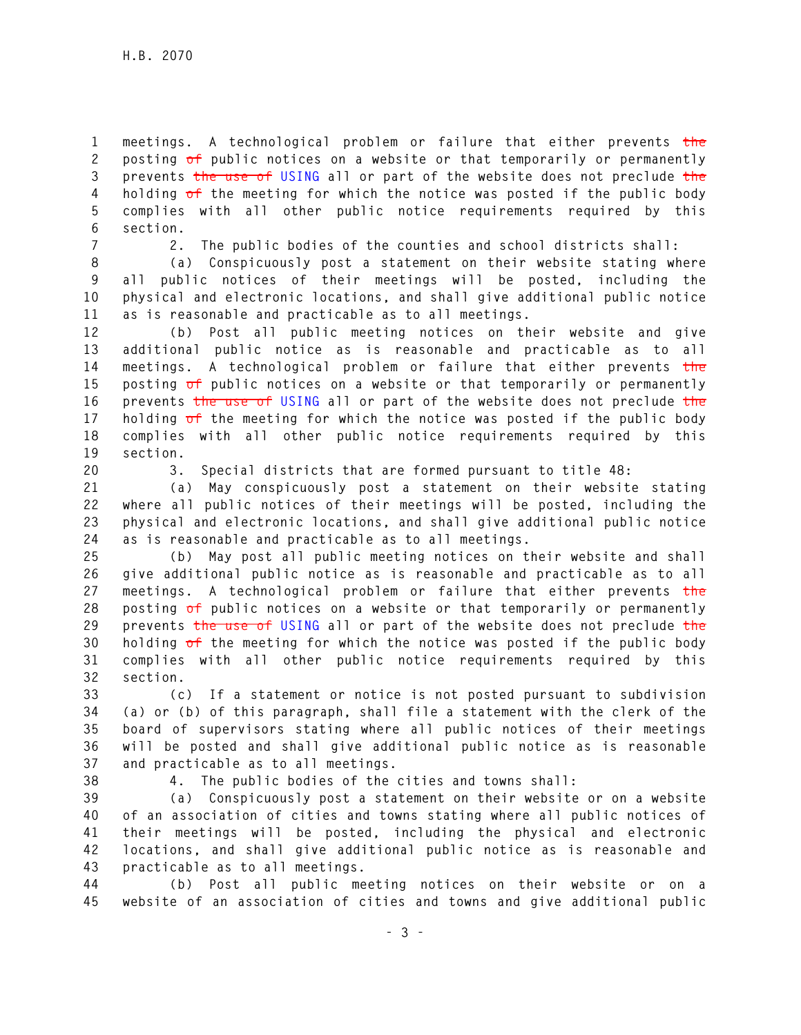**1 meetings. A technological problem or failure that either prevents the 2 posting of public notices on a website or that temporarily or permanently 3 prevents the use of USING all or part of the website does not preclude the 4 holding of the meeting for which the notice was posted if the public body 5 complies with all other public notice requirements required by this 6 section.** 

**7 2. The public bodies of the counties and school districts shall:** 

**8 (a) Conspicuously post a statement on their website stating where 9 all public notices of their meetings will be posted, including the 10 physical and electronic locations, and shall give additional public notice 11 as is reasonable and practicable as to all meetings.** 

**12 (b) Post all public meeting notices on their website and give 13 additional public notice as is reasonable and practicable as to all 14 meetings. A technological problem or failure that either prevents the 15 posting of public notices on a website or that temporarily or permanently 16 prevents the use of USING all or part of the website does not preclude the 17 holding of the meeting for which the notice was posted if the public body 18 complies with all other public notice requirements required by this 19 section.** 

**20 3. Special districts that are formed pursuant to title 48:** 

**21 (a) May conspicuously post a statement on their website stating 22 where all public notices of their meetings will be posted, including the 23 physical and electronic locations, and shall give additional public notice 24 as is reasonable and practicable as to all meetings.** 

**25 (b) May post all public meeting notices on their website and shall 26 give additional public notice as is reasonable and practicable as to all 27 meetings. A technological problem or failure that either prevents the 28 posting of public notices on a website or that temporarily or permanently 29 prevents the use of USING all or part of the website does not preclude the 30 holding of the meeting for which the notice was posted if the public body 31 complies with all other public notice requirements required by this 32 section.** 

**33 (c) If a statement or notice is not posted pursuant to subdivision 34 (a) or (b) of this paragraph, shall file a statement with the clerk of the 35 board of supervisors stating where all public notices of their meetings 36 will be posted and shall give additional public notice as is reasonable 37 and practicable as to all meetings.** 

**38 4. The public bodies of the cities and towns shall:** 

**39 (a) Conspicuously post a statement on their website or on a website 40 of an association of cities and towns stating where all public notices of 41 their meetings will be posted, including the physical and electronic 42 locations, and shall give additional public notice as is reasonable and 43 practicable as to all meetings.** 

**44 (b) Post all public meeting notices on their website or on a 45 website of an association of cities and towns and give additional public**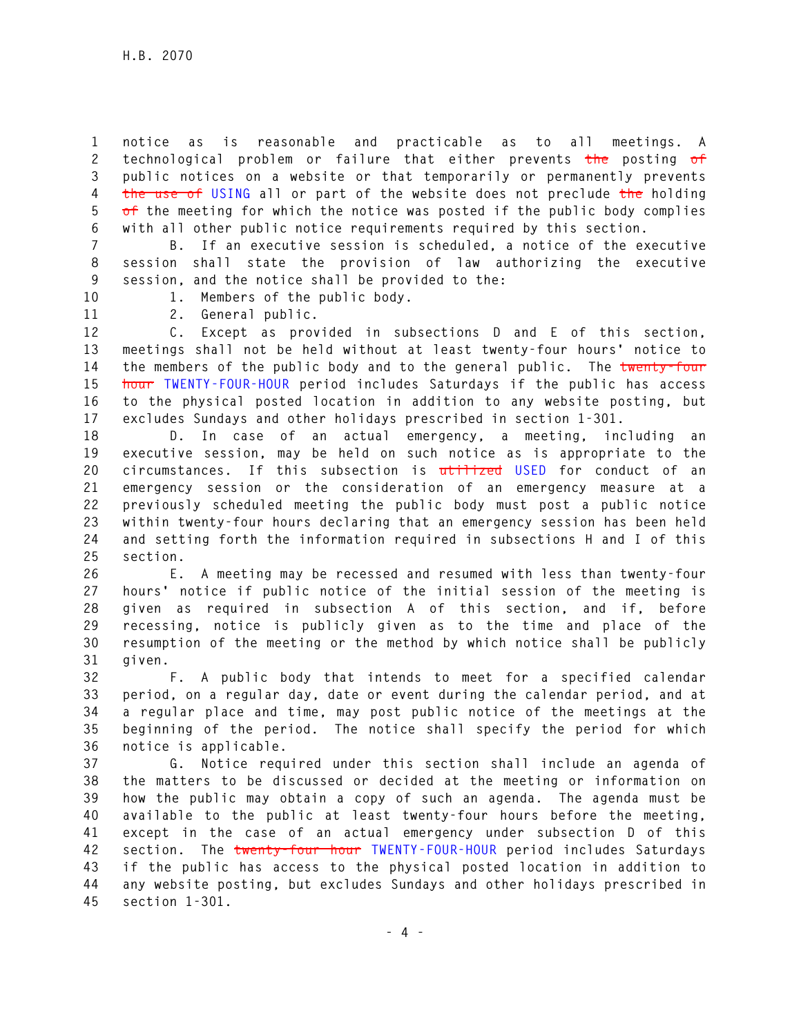**1 notice as is reasonable and practicable as to all meetings. A 2 technological problem or failure that either prevents the posting of 3 public notices on a website or that temporarily or permanently prevents 4 the use of USING all or part of the website does not preclude the holding 5 of the meeting for which the notice was posted if the public body complies 6 with all other public notice requirements required by this section.** 

**7 B. If an executive session is scheduled, a notice of the executive 8 session shall state the provision of law authorizing the executive 9 session, and the notice shall be provided to the:** 

**10 1. Members of the public body.** 

**11 2. General public.** 

**12 C. Except as provided in subsections D and E of this section, 13 meetings shall not be held without at least twenty-four hours' notice to 14 the members of the public body and to the general public. The twenty-four 15 hour TWENTY-FOUR-HOUR period includes Saturdays if the public has access 16 to the physical posted location in addition to any website posting, but 17 excludes Sundays and other holidays prescribed in section 1-301.** 

**18 D. In case of an actual emergency, a meeting, including an 19 executive session, may be held on such notice as is appropriate to the 20 circumstances. If this subsection is utilized USED for conduct of an 21 emergency session or the consideration of an emergency measure at a 22 previously scheduled meeting the public body must post a public notice 23 within twenty-four hours declaring that an emergency session has been held 24 and setting forth the information required in subsections H and I of this 25 section.** 

**26 E. A meeting may be recessed and resumed with less than twenty-four 27 hours' notice if public notice of the initial session of the meeting is 28 given as required in subsection A of this section, and if, before 29 recessing, notice is publicly given as to the time and place of the 30 resumption of the meeting or the method by which notice shall be publicly 31 given.** 

**32 F. A public body that intends to meet for a specified calendar 33 period, on a regular day, date or event during the calendar period, and at 34 a regular place and time, may post public notice of the meetings at the 35 beginning of the period. The notice shall specify the period for which 36 notice is applicable.** 

**37 G. Notice required under this section shall include an agenda of 38 the matters to be discussed or decided at the meeting or information on 39 how the public may obtain a copy of such an agenda. The agenda must be 40 available to the public at least twenty-four hours before the meeting, 41 except in the case of an actual emergency under subsection D of this 42 section. The twenty-four hour TWENTY-FOUR-HOUR period includes Saturdays 43 if the public has access to the physical posted location in addition to 44 any website posting, but excludes Sundays and other holidays prescribed in 45 section 1-301.**